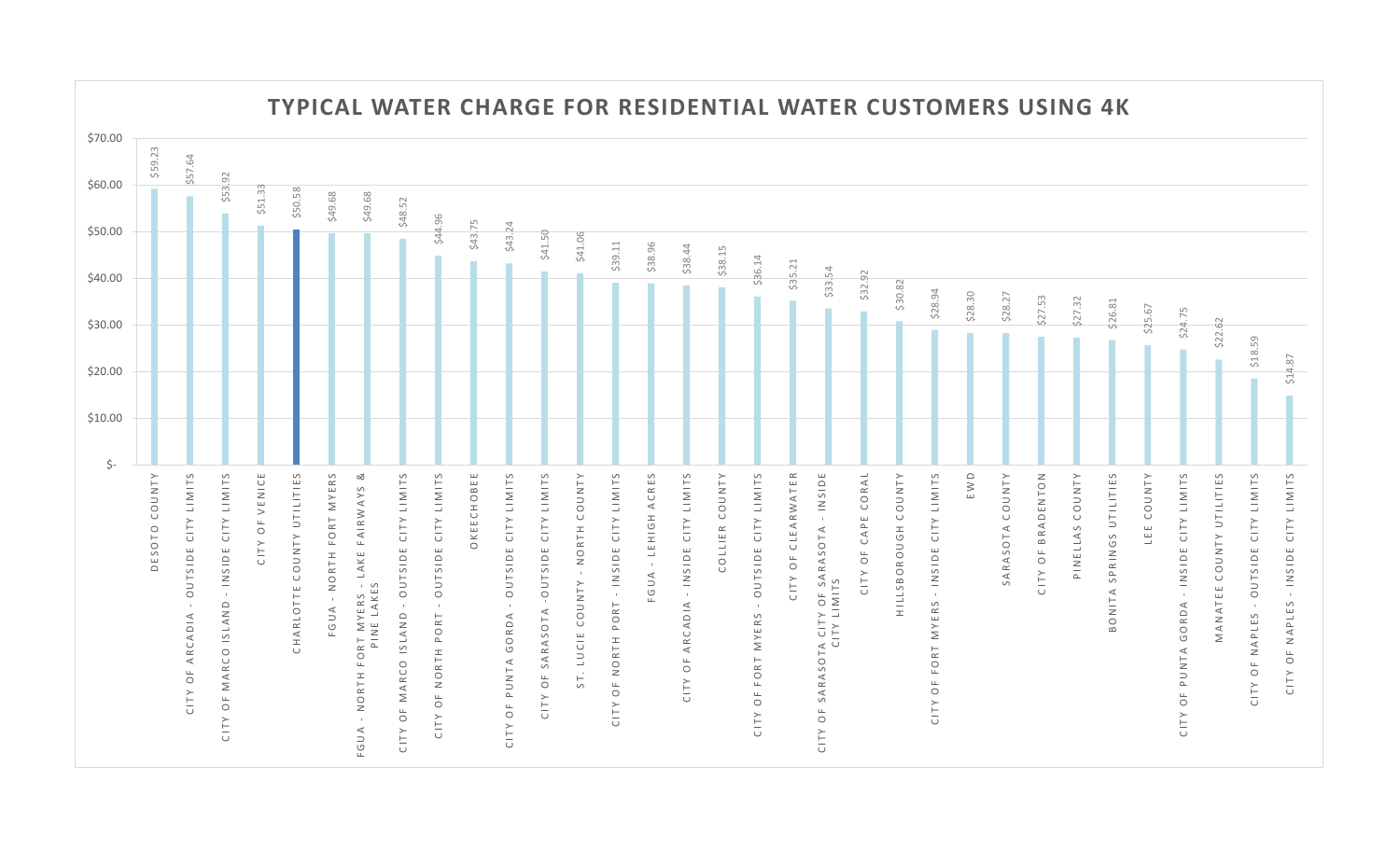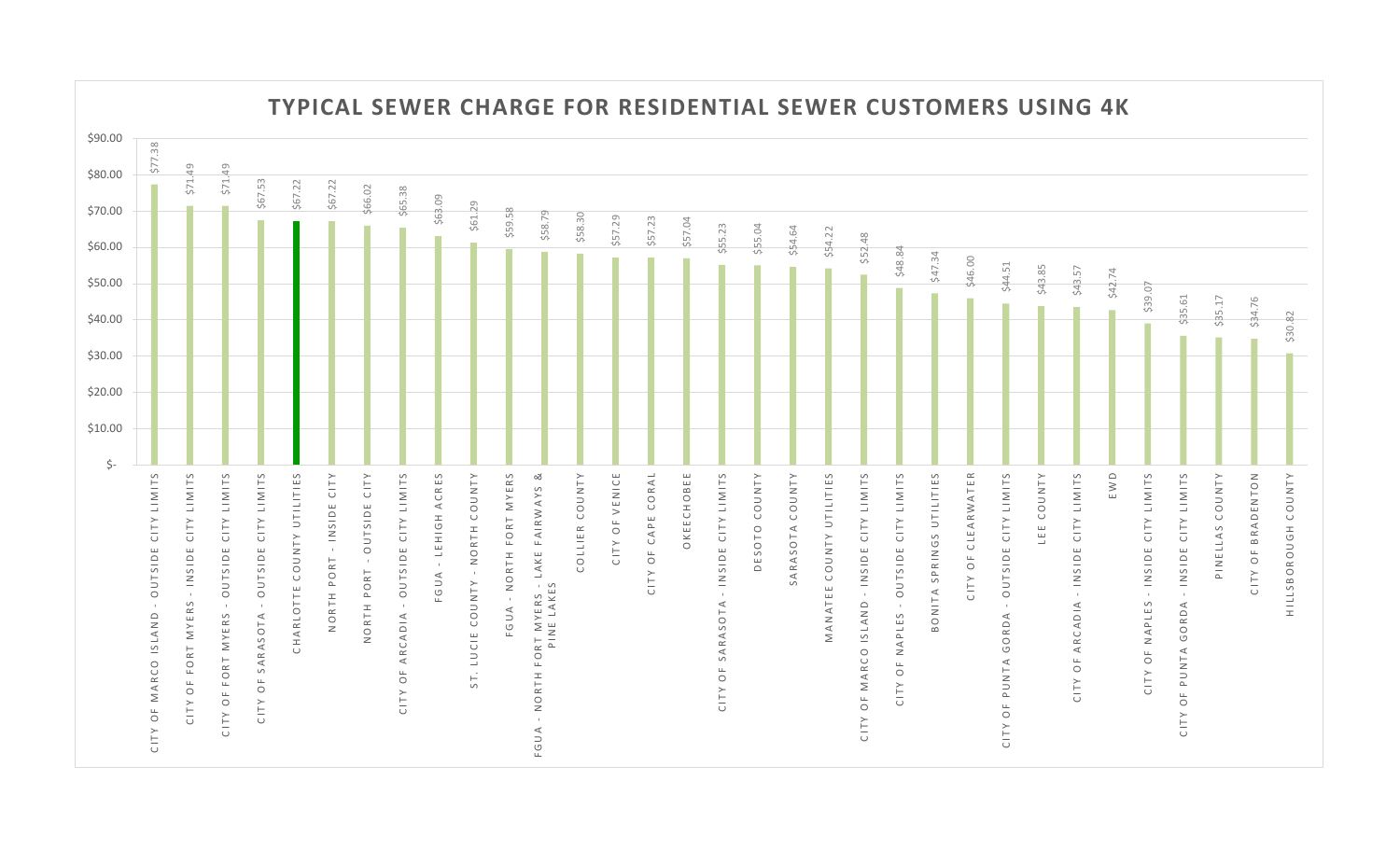